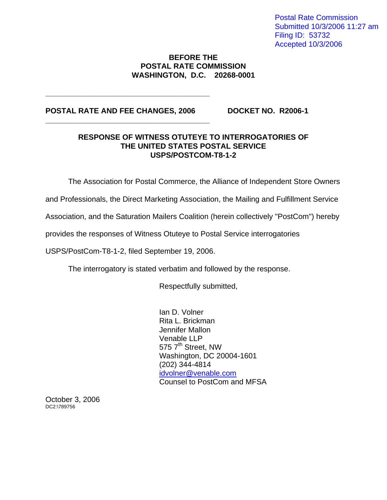Postal Rate Commission Submitted 10/3/2006 11:27 am Filing ID: 53732 Accepted 10/3/2006

### **BEFORE THE POSTAL RATE COMMISSION WASHINGTON, D.C. 20268-0001**

### POSTAL RATE AND FEE CHANGES, 2006 DOCKET NO. R2006-1

**\_\_\_\_\_\_\_\_\_\_\_\_\_\_\_\_\_\_\_\_\_\_\_\_\_\_\_\_\_\_\_\_\_\_\_\_\_\_\_** 

**\_\_\_\_\_\_\_\_\_\_\_\_\_\_\_\_\_\_\_\_\_\_\_\_\_\_\_\_\_\_\_\_\_\_\_\_\_\_\_** 

### **RESPONSE OF WITNESS OTUTEYE TO INTERROGATORIES OF THE UNITED STATES POSTAL SERVICE USPS/POSTCOM-T8-1-2**

The Association for Postal Commerce, the Alliance of Independent Store Owners

and Professionals, the Direct Marketing Association, the Mailing and Fulfillment Service

Association, and the Saturation Mailers Coalition (herein collectively "PostCom") hereby

provides the responses of Witness Otuteye to Postal Service interrogatories

USPS/PostCom-T8-1-2, filed September 19, 2006.

The interrogatory is stated verbatim and followed by the response.

Respectfully submitted,

Ian D. Volner Rita L. Brickman Jennifer Mallon Venable LLP 575 7<sup>th</sup> Street, NW Washington, DC 20004-1601 (202) 344-4814 idvolner@venable.com Counsel to PostCom and MFSA

October 3, 2006 DC2:\789756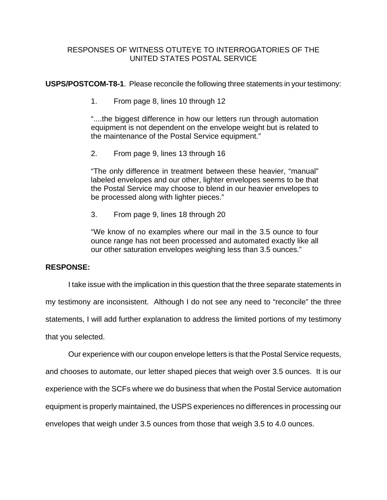**USPS/POSTCOM-T8-1**. Please reconcile the following three statements in your testimony:

1. From page 8, lines 10 through 12

"....the biggest difference in how our letters run through automation equipment is not dependent on the envelope weight but is related to the maintenance of the Postal Service equipment."

2. From page 9, lines 13 through 16

"The only difference in treatment between these heavier, "manual" labeled envelopes and our other, lighter envelopes seems to be that the Postal Service may choose to blend in our heavier envelopes to be processed along with lighter pieces."

3. From page 9, lines 18 through 20

"We know of no examples where our mail in the 3.5 ounce to four ounce range has not been processed and automated exactly like all our other saturation envelopes weighing less than 3.5 ounces."

## **RESPONSE:**

I take issue with the implication in this question that the three separate statements in

my testimony are inconsistent. Although I do not see any need to "reconcile" the three

statements, I will add further explanation to address the limited portions of my testimony

that you selected.

 Our experience with our coupon envelope letters is that the Postal Service requests, and chooses to automate, our letter shaped pieces that weigh over 3.5 ounces. It is our experience with the SCFs where we do business that when the Postal Service automation equipment is properly maintained, the USPS experiences no differences in processing our envelopes that weigh under 3.5 ounces from those that weigh 3.5 to 4.0 ounces.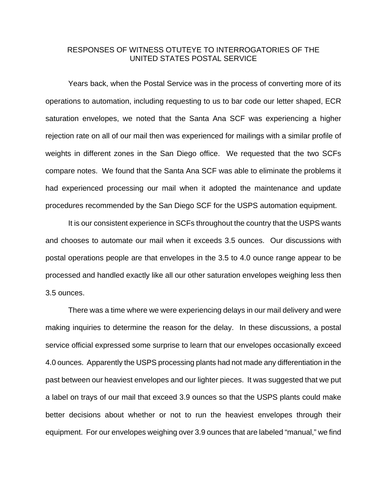Years back, when the Postal Service was in the process of converting more of its operations to automation, including requesting to us to bar code our letter shaped, ECR saturation envelopes, we noted that the Santa Ana SCF was experiencing a higher rejection rate on all of our mail then was experienced for mailings with a similar profile of weights in different zones in the San Diego office. We requested that the two SCFs compare notes. We found that the Santa Ana SCF was able to eliminate the problems it had experienced processing our mail when it adopted the maintenance and update procedures recommended by the San Diego SCF for the USPS automation equipment.

 It is our consistent experience in SCFs throughout the country that the USPS wants and chooses to automate our mail when it exceeds 3.5 ounces. Our discussions with postal operations people are that envelopes in the 3.5 to 4.0 ounce range appear to be processed and handled exactly like all our other saturation envelopes weighing less then 3.5 ounces.

 There was a time where we were experiencing delays in our mail delivery and were making inquiries to determine the reason for the delay. In these discussions, a postal service official expressed some surprise to learn that our envelopes occasionally exceed 4.0 ounces. Apparently the USPS processing plants had not made any differentiation in the past between our heaviest envelopes and our lighter pieces. It was suggested that we put a label on trays of our mail that exceed 3.9 ounces so that the USPS plants could make better decisions about whether or not to run the heaviest envelopes through their equipment. For our envelopes weighing over 3.9 ounces that are labeled "manual," we find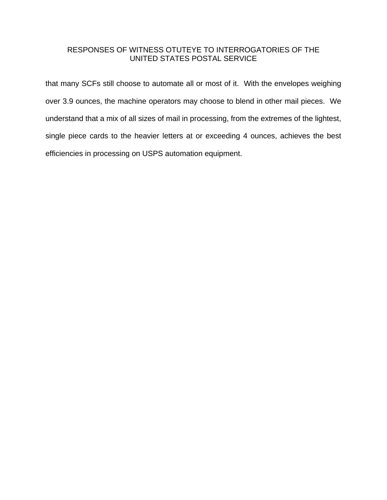that many SCFs still choose to automate all or most of it. With the envelopes weighing over 3.9 ounces, the machine operators may choose to blend in other mail pieces. We understand that a mix of all sizes of mail in processing, from the extremes of the lightest, single piece cards to the heavier letters at or exceeding 4 ounces, achieves the best efficiencies in processing on USPS automation equipment.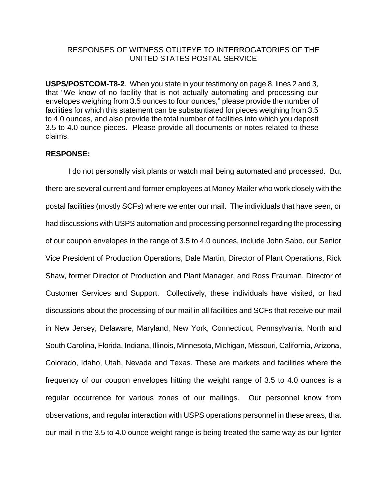**USPS/POSTCOM-T8-2**. When you state in your testimony on page 8, lines 2 and 3, that "We know of no facility that is not actually automating and processing our envelopes weighing from 3.5 ounces to four ounces," please provide the number of facilities for which this statement can be substantiated for pieces weighing from 3.5 to 4.0 ounces, and also provide the total number of facilities into which you deposit 3.5 to 4.0 ounce pieces. Please provide all documents or notes related to these claims.

### **RESPONSE:**

 I do not personally visit plants or watch mail being automated and processed. But there are several current and former employees at Money Mailer who work closely with the postal facilities (mostly SCFs) where we enter our mail. The individuals that have seen, or had discussions with USPS automation and processing personnel regarding the processing of our coupon envelopes in the range of 3.5 to 4.0 ounces, include John Sabo, our Senior Vice President of Production Operations, Dale Martin, Director of Plant Operations, Rick Shaw, former Director of Production and Plant Manager, and Ross Frauman, Director of Customer Services and Support. Collectively, these individuals have visited, or had discussions about the processing of our mail in all facilities and SCFs that receive our mail in New Jersey, Delaware, Maryland, New York, Connecticut, Pennsylvania, North and South Carolina, Florida, Indiana, Illinois, Minnesota, Michigan, Missouri, California, Arizona, Colorado, Idaho, Utah, Nevada and Texas. These are markets and facilities where the frequency of our coupon envelopes hitting the weight range of 3.5 to 4.0 ounces is a regular occurrence for various zones of our mailings. Our personnel know from observations, and regular interaction with USPS operations personnel in these areas, that our mail in the 3.5 to 4.0 ounce weight range is being treated the same way as our lighter